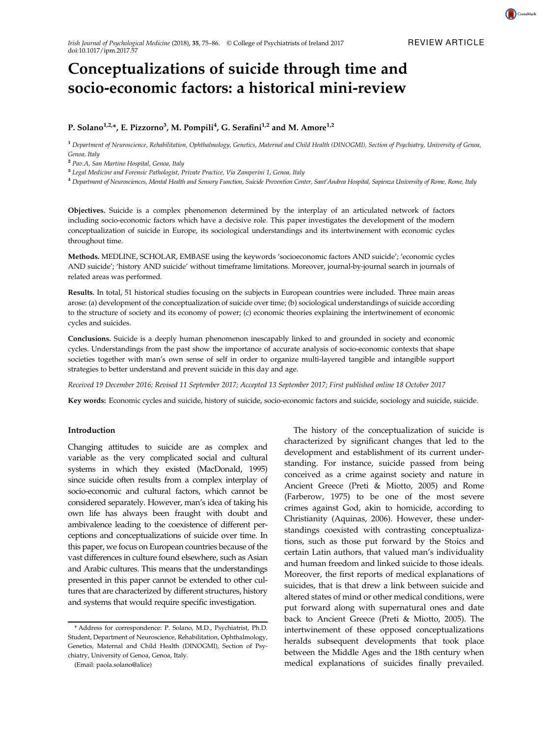# Conceptualizations of suicide through time and socio-economic factors: a historical mini-review

## P. Solano $^{1,2,*}$ , E. Pizzorno $^3$ , M. Pompili $^4$ , G. Serafini $^{1,2}$  and M. Amore $^{1,2}$

<sup>1</sup> Department of Neuroscience, Rehabilitation, Ophthalmology, Genetics, Maternal and Child Health (DINOGMI), Section of Psychiatry, University of Genoa, Genoa, Italy

<sup>2</sup> Pav.A, San Martino Hospital, Genoa, Italy

<sup>3</sup> Legal Medicine and Forensic Pathologist, Private Practice, Via Zamperini 1, Genoa, Italy

<sup>4</sup> Department of Neurosciences, Mental Health and Sensory Function, Suicide Prevention Center, Sant'Andrea Hospital, Sapienza University of Rome, Rome, Italy

Objectives. Suicide is a complex phenomenon determined by the interplay of an articulated network of factors including socio-economic factors which have a decisive role. This paper investigates the development of the modern conceptualization of suicide in Europe, its sociological understandings and its intertwinement with economic cycles throughout time.

Methods. MEDLINE, SCHOLAR, EMBASE using the keywords 'socioeconomic factors AND suicide'; 'economic cycles AND suicide'; 'history AND suicide' without timeframe limitations. Moreover, journal-by-journal search in journals of related areas was performed.

Results. In total, 51 historical studies focusing on the subjects in European countries were included. Three main areas arose: (a) development of the conceptualization of suicide over time; (b) sociological understandings of suicide according to the structure of society and its economy of power; (c) economic theories explaining the intertwinement of economic cycles and suicides.

Conclusions. Suicide is a deeply human phenomenon inescapably linked to and grounded in society and economic cycles. Understandings from the past show the importance of accurate analysis of socio-economic contexts that shape societies together with man's own sense of self in order to organize multi-layered tangible and intangible support strategies to better understand and prevent suicide in this day and age.

Received 19 December 2016; Revised 11 September 2017; Accepted 13 September 2017; First published online 18 October 2017

Key words: Economic cycles and suicide, history of suicide, socio-economic factors and suicide, sociology and suicide, suicide.

#### Introduction

Changing attitudes to suicide are as complex and variable as the very complicated social and cultural systems in which they existed (MacDonald, [1995\)](#page-10-0) since suicide often results from a complex interplay of socio-economic and cultural factors, which cannot be considered separately. However, man's idea of taking his own life has always been fraught with doubt and ambivalence leading to the coexistence of different perceptions and conceptualizations of suicide over time. In this paper, we focus on European countries because of the vast differences in culture found elsewhere, such as Asian and Arabic cultures. This means that the understandings presented in this paper cannot be extended to other cultures that are characterized by different structures, history and systems that would require specific investigation.

(Email: [paola.solano@alice](mailto:paola.solano@alice))

The history of the conceptualization of suicide is characterized by significant changes that led to the development and establishment of its current understanding. For instance, suicide passed from being conceived as a crime against society and nature in Ancient Greece (Preti & Miotto, [2005\)](#page-11-0) and Rome (Farberow, [1975](#page-10-0)) to be one of the most severe crimes against God, akin to homicide, according to Christianity (Aquinas, [2006\)](#page-9-0). However, these understandings coexisted with contrasting conceptualizations, such as those put forward by the Stoics and certain Latin authors, that valued man's individuality and human freedom and linked suicide to those ideals. Moreover, the first reports of medical explanations of suicides, that is that drew a link between suicide and altered states of mind or other medical conditions, were put forward along with supernatural ones and date back to Ancient Greece (Preti & Miotto, [2005](#page-11-0)). The intertwinement of these opposed conceptualizations heralds subsequent developments that took place between the Middle Ages and the 18th century when medical explanations of suicides finally prevailed.



<sup>\*</sup> Address for correspondence: P. Solano, M.D., Psychiatrist, Ph.D. Student, Department of Neuroscience, Rehabilitation, Ophthalmology, Genetics, Maternal and Child Health (DINOGMI), Section of Psychiatry, University of Genoa, Genoa, Italy.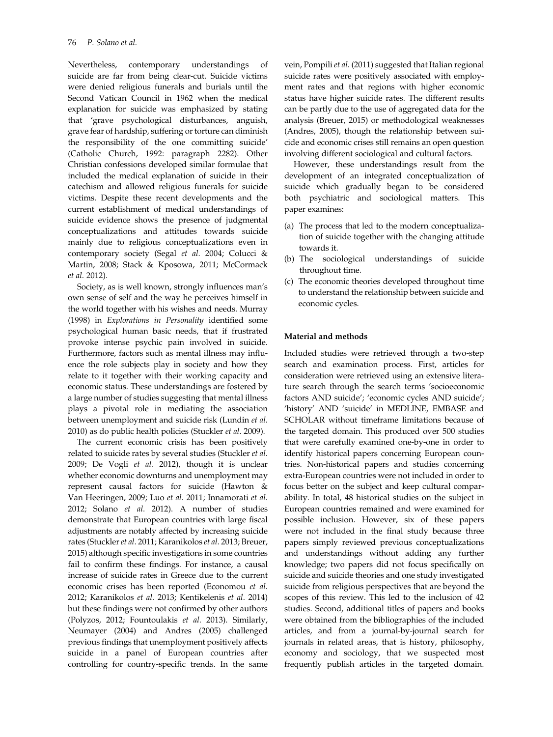Nevertheless, contemporary understandings of suicide are far from being clear-cut. Suicide victims were denied religious funerals and burials until the Second Vatican Council in 1962 when the medical explanation for suicide was emphasized by stating that 'grave psychological disturbances, anguish, grave fear of hardship, suffering or torture can diminish the responsibility of the one committing suicide' (Catholic Church, [1992:](#page-9-0) paragraph 2282). Other Christian confessions developed similar formulae that included the medical explanation of suicide in their catechism and allowed religious funerals for suicide victims. Despite these recent developments and the current establishment of medical understandings of suicide evidence shows the presence of judgmental conceptualizations and attitudes towards suicide mainly due to religious conceptualizations even in contemporary society (Segal et al. [2004](#page-11-0); Colucci & Martin, [2008](#page-9-0); Stack & Kposowa, [2011;](#page-11-0) McCormack et al. [2012\)](#page-10-0).

Society, as is well known, strongly influences man's own sense of self and the way he perceives himself in the world together with his wishes and needs. Murray [\(1998](#page-10-0)) in Explorations in Personality identified some psychological human basic needs, that if frustrated provoke intense psychic pain involved in suicide. Furthermore, factors such as mental illness may influence the role subjects play in society and how they relate to it together with their working capacity and economic status. These understandings are fostered by a large number of studies suggesting that mental illness plays a pivotal role in mediating the association between unemployment and suicide risk (Lundin et al. [2010](#page-10-0)) as do public health policies (Stuckler et al. [2009\)](#page-11-0).

The current economic crisis has been positively related to suicide rates by several studies (Stuckler et al. [2009](#page-11-0); De Vogli et al. [2012\)](#page-9-0), though it is unclear whether economic downturns and unemployment may represent causal factors for suicide (Hawton & Van Heeringen, [2009](#page-10-0); Luo et al. [2011;](#page-10-0) Innamorati et al. [2012](#page-10-0); Solano et al. [2012](#page-11-0)). A number of studies demonstrate that European countries with large fiscal adjustments are notably affected by increasing suicide rates (Stuckler et al. [2011;](#page-11-0) Karanikolos et al. [2013](#page-10-0); Breuer, [2015](#page-9-0)) although specific investigations in some countries fail to confirm these findings. For instance, a causal increase of suicide rates in Greece due to the current economic crises has been reported (Economou et al. [2012](#page-10-0); Karanikolos et al. [2013;](#page-10-0) Kentikelenis et al. [2014\)](#page-10-0) but these findings were not confirmed by other authors (Polyzos, [2012](#page-11-0); Fountoulakis et al. [2013](#page-10-0)). Similarly, Neumayer ([2004\)](#page-10-0) and Andres [\(2005](#page-9-0)) challenged previous findings that unemployment positively affects suicide in a panel of European countries after controlling for country-specific trends. In the same

vein, Pompili et al. [\(2011](#page-11-0)) suggested that Italian regional suicide rates were positively associated with employment rates and that regions with higher economic status have higher suicide rates. The different results can be partly due to the use of aggregated data for the analysis (Breuer, [2015\)](#page-9-0) or methodological weaknesses (Andres, [2005](#page-9-0)), though the relationship between suicide and economic crises still remains an open question involving different sociological and cultural factors.

However, these understandings result from the development of an integrated conceptualization of suicide which gradually began to be considered both psychiatric and sociological matters. This paper examines:

- (a) The process that led to the modern conceptualization of suicide together with the changing attitude towards it.
- (b) The sociological understandings of suicide throughout time.
- (c) The economic theories developed throughout time to understand the relationship between suicide and economic cycles.

## Material and methods

Included studies were retrieved through a two-step search and examination process. First, articles for consideration were retrieved using an extensive literature search through the search terms 'socioeconomic factors AND suicide'; 'economic cycles AND suicide'; 'history' AND 'suicide' in MEDLINE, EMBASE and SCHOLAR without timeframe limitations because of the targeted domain. This produced over 500 studies that were carefully examined one-by-one in order to identify historical papers concerning European countries. Non-historical papers and studies concerning extra-European countries were not included in order to focus better on the subject and keep cultural comparability. In total, 48 historical studies on the subject in European countries remained and were examined for possible inclusion. However, six of these papers were not included in the final study because three papers simply reviewed previous conceptualizations and understandings without adding any further knowledge; two papers did not focus specifically on suicide and suicide theories and one study investigated suicide from religious perspectives that are beyond the scopes of this review. This led to the inclusion of 42 studies. Second, additional titles of papers and books were obtained from the bibliographies of the included articles, and from a journal-by-journal search for journals in related areas, that is history, philosophy, economy and sociology, that we suspected most frequently publish articles in the targeted domain.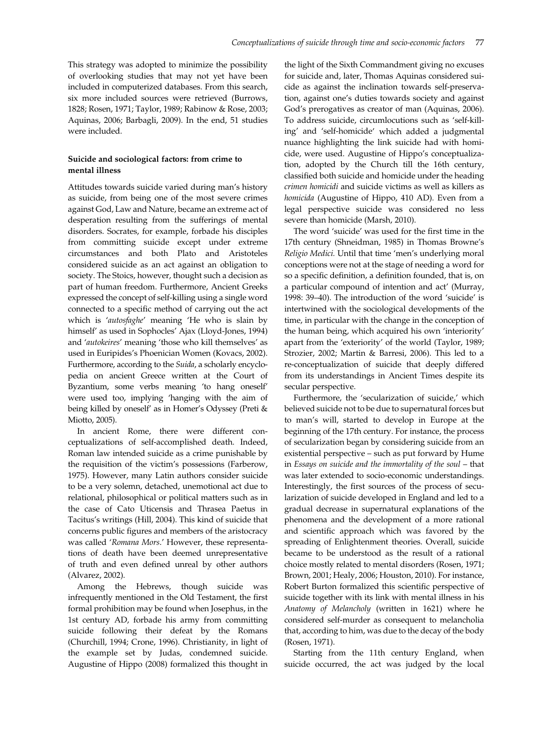This strategy was adopted to minimize the possibility of overlooking studies that may not yet have been included in computerized databases. From this search, six more included sources were retrieved (Burrows, [1828](#page-9-0); Rosen, [1971;](#page-11-0) Taylor, [1989](#page-11-0); Rabinow & Rose, [2003](#page-11-0); Aquinas, [2006;](#page-9-0) Barbagli, [2009\)](#page-9-0). In the end, 51 studies were included.

## Suicide and sociological factors: from crime to mental illness

Attitudes towards suicide varied during man's history as suicide, from being one of the most severe crimes against God, Law and Nature, became an extreme act of desperation resulting from the sufferings of mental disorders. Socrates, for example, forbade his disciples from committing suicide except under extreme circumstances and both Plato and Aristoteles considered suicide as an act against an obligation to society. The Stoics, however, thought such a decision as part of human freedom. Furthermore, Ancient Greeks expressed the concept of self-killing using a single word connected to a specific method of carrying out the act which is 'autosfaghe' meaning 'He who is slain by himself' as used in Sophocles' Ajax (Lloyd-Jones, [1994\)](#page-10-0) and 'autokeires' meaning 'those who kill themselves' as used in Euripides's Phoenician Women (Kovacs, [2002](#page-10-0)). Furthermore, according to the Suida, a scholarly encyclopedia on ancient Greece written at the Court of Byzantium, some verbs meaning 'to hang oneself' were used too, implying 'hanging with the aim of being killed by oneself' as in Homer's Odyssey (Preti & Miotto, [2005](#page-11-0)).

In ancient Rome, there were different conceptualizations of self-accomplished death. Indeed, Roman law intended suicide as a crime punishable by the requisition of the victim's possessions (Farberow, [1975](#page-10-0)). However, many Latin authors consider suicide to be a very solemn, detached, unemotional act due to relational, philosophical or political matters such as in the case of Cato Uticensis and Thrasea Paetus in Tacitus's writings (Hill, [2004\)](#page-10-0). This kind of suicide that concerns public figures and members of the aristocracy was called 'Romana Mors.' However, these representations of death have been deemed unrepresentative of truth and even defined unreal by other authors (Alvarez, [2002\)](#page-9-0).

Among the Hebrews, though suicide was infrequently mentioned in the Old Testament, the first formal prohibition may be found when Josephus, in the 1st century AD, forbade his army from committing suicide following their defeat by the Romans (Churchill, [1994](#page-9-0); Crone, [1996\)](#page-9-0). Christianity, in light of the example set by Judas, condemned suicide. Augustine of Hippo [\(2008](#page-9-0)) formalized this thought in the light of the Sixth Commandment giving no excuses for suicide and, later, Thomas Aquinas considered suicide as against the inclination towards self-preservation, against one's duties towards society and against God's prerogatives as creator of man (Aquinas, [2006](#page-9-0)). To address suicide, circumlocutions such as 'self-killing' and 'self-homicide' which added a judgmental nuance highlighting the link suicide had with homicide, were used. Augustine of Hippo's conceptualization, adopted by the Church till the 16th century, classified both suicide and homicide under the heading crimen homicidi and suicide victims as well as killers as homicida (Augustine of Hippo, 410 AD). Even from a legal perspective suicide was considered no less severe than homicide (Marsh, [2010](#page-10-0)).

The word 'suicide' was used for the first time in the 17th century (Shneidman, [1985\)](#page-11-0) in Thomas Browne's Religio Medici. Until that time 'men's underlying moral conceptions were not at the stage of needing a word for so a specific definition, a definition founded, that is, on a particular compound of intention and act' (Murray, [1998](#page-10-0): 39–40). The introduction of the word 'suicide' is intertwined with the sociological developments of the time, in particular with the change in the conception of the human being, which acquired his own 'interiority' apart from the 'exteriority' of the world (Taylor, [1989](#page-11-0); Strozier, [2002;](#page-11-0) Martin & Barresi, [2006\)](#page-10-0). This led to a re-conceptualization of suicide that deeply differed from its understandings in Ancient Times despite its secular perspective.

Furthermore, the 'secularization of suicide,' which believed suicide not to be due to supernatural forces but to man's will, started to develop in Europe at the beginning of the 17th century. For instance, the process of secularization began by considering suicide from an existential perspective – such as put forward by Hume in Essays on suicide and the immortality of the soul – that was later extended to socio-economic understandings. Interestingly, the first sources of the process of secularization of suicide developed in England and led to a gradual decrease in supernatural explanations of the phenomena and the development of a more rational and scientific approach which was favored by the spreading of Enlightenment theories. Overall, suicide became to be understood as the result of a rational choice mostly related to mental disorders (Rosen, [1971](#page-11-0); Brown, [2001;](#page-9-0) Healy, [2006;](#page-10-0) Houston, [2010](#page-10-0)). For instance, Robert Burton formalized this scientific perspective of suicide together with its link with mental illness in his Anatomy of Melancholy (written in 1621) where he considered self-murder as consequent to melancholia that, according to him, was due to the decay of the body (Rosen, [1971\)](#page-11-0).

Starting from the 11th century England, when suicide occurred, the act was judged by the local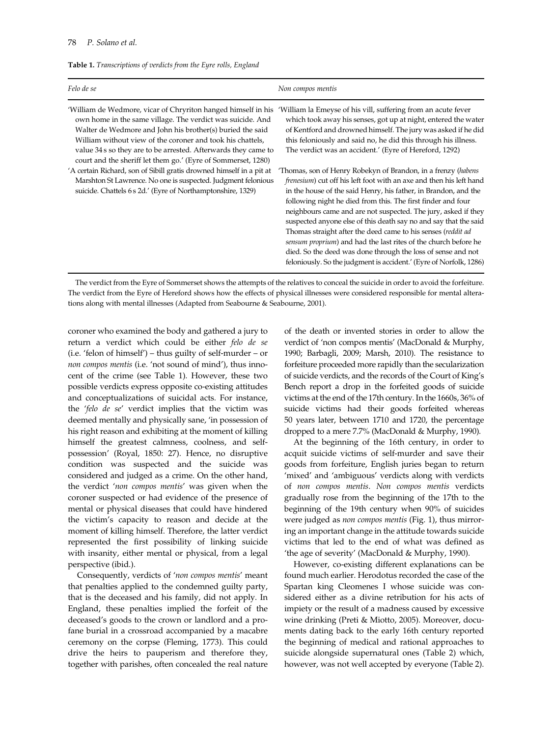Table 1. Transcriptions of verdicts from the Eyre rolls, England

| Felo de se                                                                                                                                                                                                                                                                                                                                                                                                                                                                                                                                                                                        | Non compos mentis                                                                                                                                                                                                                                                                                                                                                                                                                                                                                                                                                                                                                                                                                                                                                                                                                                                                                                                                                                                                    |
|---------------------------------------------------------------------------------------------------------------------------------------------------------------------------------------------------------------------------------------------------------------------------------------------------------------------------------------------------------------------------------------------------------------------------------------------------------------------------------------------------------------------------------------------------------------------------------------------------|----------------------------------------------------------------------------------------------------------------------------------------------------------------------------------------------------------------------------------------------------------------------------------------------------------------------------------------------------------------------------------------------------------------------------------------------------------------------------------------------------------------------------------------------------------------------------------------------------------------------------------------------------------------------------------------------------------------------------------------------------------------------------------------------------------------------------------------------------------------------------------------------------------------------------------------------------------------------------------------------------------------------|
| 'William de Wedmore, vicar of Chryriton hanged himself in his<br>own home in the same village. The verdict was suicide. And<br>Walter de Wedmore and John his brother(s) buried the said<br>William without view of the coroner and took his chattels,<br>value 34 s so they are to be arrested. Afterwards they came to<br>court and the sheriff let them go.' (Eyre of Sommerset, 1280)<br>'A certain Richard, son of Sibill gratis drowned himself in a pit at<br>Marshton St Lawrence. No one is suspected. Judgment felonious<br>suicide. Chattels 6 s 2d.' (Eyre of Northamptonshire, 1329) | William la Emeyse of his vill, suffering from an acute fever<br>which took away his senses, got up at night, entered the water<br>of Kentford and drowned himself. The jury was asked if he did<br>this feloniously and said no, he did this through his illness.<br>The verdict was an accident.' (Eyre of Hereford, 1292)<br>Thomas, son of Henry Robekyn of Brandon, in a frenzy (habens<br>frenesium) cut off his left foot with an axe and then his left hand<br>in the house of the said Henry, his father, in Brandon, and the<br>following night he died from this. The first finder and four<br>neighbours came and are not suspected. The jury, asked if they<br>suspected anyone else of this death say no and say that the said<br>Thomas straight after the deed came to his senses (reddit ad<br>sensum proprium) and had the last rites of the church before he<br>died. So the deed was done through the loss of sense and not<br>feloniously. So the judgment is accident.' (Eyre of Norfolk, 1286) |

The verdict from the Eyre of Sommerset shows the attempts of the relatives to conceal the suicide in order to avoid the forfeiture. The verdict from the Eyre of Hereford shows how the effects of physical illnesses were considered responsible for mental alterations along with mental illnesses (Adapted from Seabourne & Seabourne, [2001](#page-11-0)).

coroner who examined the body and gathered a jury to return a verdict which could be either felo de se (i.e. 'felon of himself') – thus guilty of self-murder – or non compos mentis (i.e. 'not sound of mind'), thus innocent of the crime (see Table 1). However, these two possible verdicts express opposite co-existing attitudes and conceptualizations of suicidal acts. For instance, the 'felo de se' verdict implies that the victim was deemed mentally and physically sane, 'in possession of his right reason and exhibiting at the moment of killing himself the greatest calmness, coolness, and selfpossession' (Royal, [1850:](#page-11-0) 27). Hence, no disruptive condition was suspected and the suicide was considered and judged as a crime. On the other hand, the verdict 'non compos mentis' was given when the coroner suspected or had evidence of the presence of mental or physical diseases that could have hindered the victim's capacity to reason and decide at the moment of killing himself. Therefore, the latter verdict represented the first possibility of linking suicide with insanity, either mental or physical, from a legal perspective (ibid.).

Consequently, verdicts of 'non compos mentis' meant that penalties applied to the condemned guilty party, that is the deceased and his family, did not apply. In England, these penalties implied the forfeit of the deceased's goods to the crown or landlord and a profane burial in a crossroad accompanied by a macabre ceremony on the corpse (Fleming, [1773\)](#page-10-0). This could drive the heirs to pauperism and therefore they, together with parishes, often concealed the real nature of the death or invented stories in order to allow the verdict of 'non compos mentis' (MacDonald & Murphy, [1990;](#page-10-0) Barbagli, [2009;](#page-9-0) Marsh, [2010\)](#page-10-0). The resistance to forfeiture proceeded more rapidly than the secularization of suicide verdicts, and the records of the Court of King's Bench report a drop in the forfeited goods of suicide victims at the end of the 17th century. In the 1660s, 36% of suicide victims had their goods forfeited whereas 50 years later, between 1710 and 1720, the percentage dropped to a mere 7.7% (MacDonald & Murphy, [1990](#page-10-0)).

At the beginning of the 16th century, in order to acquit suicide victims of self-murder and save their goods from forfeiture, English juries began to return 'mixed' and 'ambiguous' verdicts along with verdicts of non compos mentis. Non compos mentis verdicts gradually rose from the beginning of the 17th to the beginning of the 19th century when 90% of suicides were judged as non compos mentis ([Fig. 1\)](#page-4-0), thus mirroring an important change in the attitude towards suicide victims that led to the end of what was defined as 'the age of severity' (MacDonald & Murphy, [1990](#page-10-0)).

However, co-existing different explanations can be found much earlier. Herodotus recorded the case of the Spartan king Cleomenes I whose suicide was considered either as a divine retribution for his acts of impiety or the result of a madness caused by excessive wine drinking (Preti & Miotto, [2005\)](#page-11-0). Moreover, documents dating back to the early 16th century reported the beginning of medical and rational approaches to suicide alongside supernatural ones [\(Table 2](#page-4-0)) which, however, was not well accepted by everyone [\(Table 2](#page-4-0)).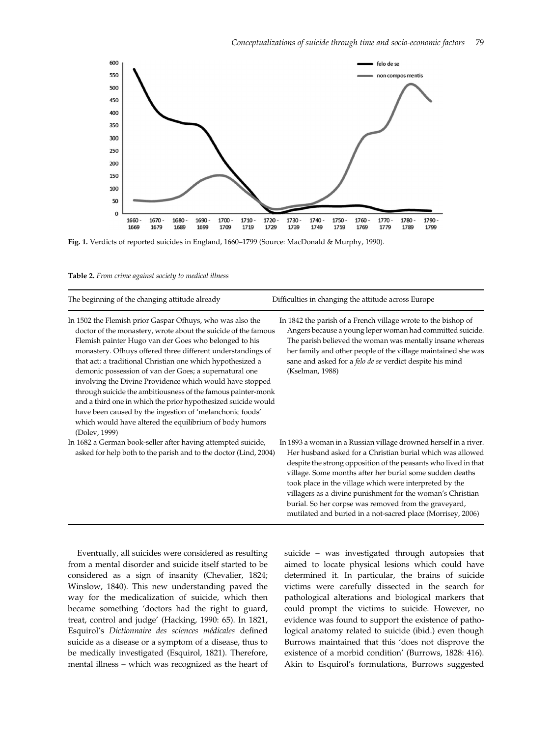<span id="page-4-0"></span>

Fig. 1. Verdicts of reported suicides in England, 1660–1799 (Source: MacDonald & Murphy, [1990\)](#page-10-0).

| The beginning of the changing attitude already                                                                                                                                                                                                                                                                                                                                                                                                                                                                                                                                                                                                                                                                   | Difficulties in changing the attitude across Europe                                                                                                                                                                                                                                                                                                                                                                                                                                                            |
|------------------------------------------------------------------------------------------------------------------------------------------------------------------------------------------------------------------------------------------------------------------------------------------------------------------------------------------------------------------------------------------------------------------------------------------------------------------------------------------------------------------------------------------------------------------------------------------------------------------------------------------------------------------------------------------------------------------|----------------------------------------------------------------------------------------------------------------------------------------------------------------------------------------------------------------------------------------------------------------------------------------------------------------------------------------------------------------------------------------------------------------------------------------------------------------------------------------------------------------|
| In 1502 the Flemish prior Gaspar Ofhuys, who was also the<br>doctor of the monastery, wrote about the suicide of the famous<br>Flemish painter Hugo van der Goes who belonged to his<br>monastery. Ofhuys offered three different understandings of<br>that act: a traditional Christian one which hypothesized a<br>demonic possession of van der Goes; a supernatural one<br>involving the Divine Providence which would have stopped<br>through suicide the ambitiousness of the famous painter-monk<br>and a third one in which the prior hypothesized suicide would<br>have been caused by the ingestion of 'melanchonic foods'<br>which would have altered the equilibrium of body humors<br>(Dolev, 1999) | In 1842 the parish of a French village wrote to the bishop of<br>Angers because a young leper woman had committed suicide.<br>The parish believed the woman was mentally insane whereas<br>her family and other people of the village maintained she was<br>sane and asked for a felo de se verdict despite his mind<br>(Kselman, 1988)                                                                                                                                                                        |
| In 1682 a German book-seller after having attempted suicide,<br>asked for help both to the parish and to the doctor (Lind, 2004)                                                                                                                                                                                                                                                                                                                                                                                                                                                                                                                                                                                 | In 1893 a woman in a Russian village drowned herself in a river.<br>Her husband asked for a Christian burial which was allowed<br>despite the strong opposition of the peasants who lived in that<br>village. Some months after her burial some sudden deaths<br>took place in the village which were interpreted by the<br>villagers as a divine punishment for the woman's Christian<br>burial. So her corpse was removed from the graveyard,<br>mutilated and buried in a not-sacred place (Morrisey, 2006) |

Table 2. From crime against society to medical illness

Eventually, all suicides were considered as resulting from a mental disorder and suicide itself started to be considered as a sign of insanity (Chevalier, [1824](#page-9-0); Winslow, [1840](#page-11-0)). This new understanding paved the way for the medicalization of suicide, which then became something 'doctors had the right to guard, treat, control and judge' (Hacking, [1990:](#page-10-0) 65). In 1821, Esquirol's Dictionnaire des sciences médicales defined suicide as a disease or a symptom of a disease, thus to be medically investigated (Esquirol, [1821](#page-10-0)). Therefore, mental illness – which was recognized as the heart of suicide – was investigated through autopsies that aimed to locate physical lesions which could have determined it. In particular, the brains of suicide victims were carefully dissected in the search for pathological alterations and biological markers that could prompt the victims to suicide. However, no evidence was found to support the existence of pathological anatomy related to suicide (ibid.) even though Burrows maintained that this 'does not disprove the existence of a morbid condition' (Burrows, [1828:](#page-9-0) 416). Akin to Esquirol's formulations, Burrows suggested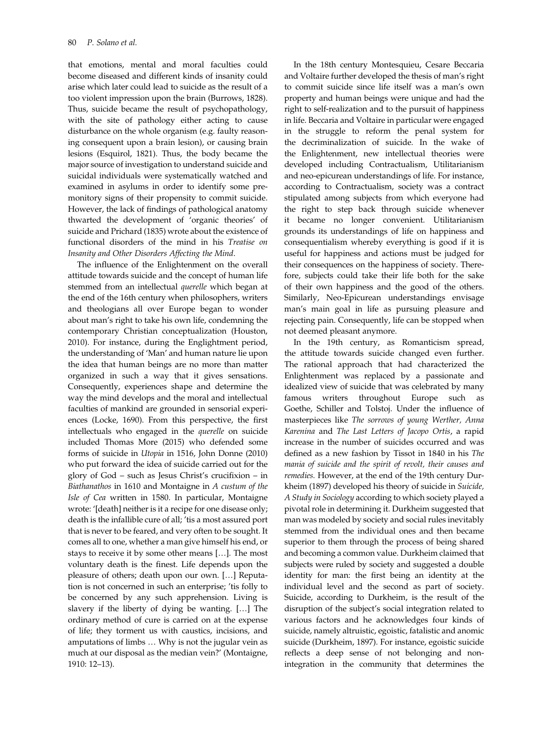that emotions, mental and moral faculties could become diseased and different kinds of insanity could arise which later could lead to suicide as the result of a too violent impression upon the brain (Burrows, [1828](#page-9-0)). Thus, suicide became the result of psychopathology, with the site of pathology either acting to cause disturbance on the whole organism (e.g. faulty reasoning consequent upon a brain lesion), or causing brain lesions (Esquirol, [1821\)](#page-10-0). Thus, the body became the major source of investigation to understand suicide and suicidal individuals were systematically watched and examined in asylums in order to identify some premonitory signs of their propensity to commit suicide. However, the lack of findings of pathological anatomy thwarted the development of 'organic theories' of suicide and Prichard ([1835\)](#page-11-0) wrote about the existence of functional disorders of the mind in his Treatise on Insanity and Other Disorders Affecting the Mind.

The influence of the Enlightenment on the overall attitude towards suicide and the concept of human life stemmed from an intellectual querelle which began at the end of the 16th century when philosophers, writers and theologians all over Europe began to wonder about man's right to take his own life, condemning the contemporary Christian conceptualization (Houston, [2010](#page-10-0)). For instance, during the Englightment period, the understanding of 'Man' and human nature lie upon the idea that human beings are no more than matter organized in such a way that it gives sensations. Consequently, experiences shape and determine the way the mind develops and the moral and intellectual faculties of mankind are grounded in sensorial experiences (Locke, [1690](#page-10-0)). From this perspective, the first intellectuals who engaged in the querelle on suicide included Thomas More ([2015\)](#page-10-0) who defended some forms of suicide in Utopia in 1516, John Donne ([2010\)](#page-10-0) who put forward the idea of suicide carried out for the glory of God – such as Jesus Christ's crucifixion – in Biathanathos in 1610 and Montaigne in A custum of the Isle of Cea written in 1580. In particular, Montaigne wrote: '[death] neither is it a recipe for one disease only; death is the infallible cure of all; 'tis a most assured port that is never to be feared, and very often to be sought. It comes all to one, whether a man give himself his end, or stays to receive it by some other means […]. The most voluntary death is the finest. Life depends upon the pleasure of others; death upon our own. […] Reputation is not concerned in such an enterprise; 'tis folly to be concerned by any such apprehension. Living is slavery if the liberty of dying be wanting. […] The ordinary method of cure is carried on at the expense of life; they torment us with caustics, incisions, and amputations of limbs … Why is not the jugular vein as much at our disposal as the median vein?' (Montaigne, [1910](#page-10-0): 12–13).

In the 18th century Montesquieu, Cesare Beccaria and Voltaire further developed the thesis of man's right to commit suicide since life itself was a man's own property and human beings were unique and had the right to self-realization and to the pursuit of happiness in life. Beccaria and Voltaire in particular were engaged in the struggle to reform the penal system for the decriminalization of suicide. In the wake of the Enlightenment, new intellectual theories were developed including Contractualism, Utilitarianism and neo-epicurean understandings of life. For instance, according to Contractualism, society was a contract stipulated among subjects from which everyone had the right to step back through suicide whenever it became no longer convenient. Utilitarianism grounds its understandings of life on happiness and consequentialism whereby everything is good if it is useful for happiness and actions must be judged for their consequences on the happiness of society. Therefore, subjects could take their life both for the sake of their own happiness and the good of the others. Similarly, Neo-Epicurean understandings envisage man's main goal in life as pursuing pleasure and rejecting pain. Consequently, life can be stopped when not deemed pleasant anymore.

In the 19th century, as Romanticism spread, the attitude towards suicide changed even further. The rational approach that had characterized the Enlightenment was replaced by a passionate and idealized view of suicide that was celebrated by many famous writers throughout Europe such as Goethe, Schiller and Tolstoj. Under the influence of masterpieces like The sorrows of young Werther, Anna Karenina and The Last Letters of Jacopo Ortis, a rapid increase in the number of suicides occurred and was defined as a new fashion by Tissot in 1840 in his The mania of suicide and the spirit of revolt, their causes and remedies. However, at the end of the 19th century Durkheim [\(1897\)](#page-10-0) developed his theory of suicide in Suicide, A Study in Sociology according to which society played a pivotal role in determining it. Durkheim suggested that man was modeled by society and social rules inevitably stemmed from the individual ones and then became superior to them through the process of being shared and becoming a common value. Durkheim claimed that subjects were ruled by society and suggested a double identity for man: the first being an identity at the individual level and the second as part of society. Suicide, according to Durkheim, is the result of the disruption of the subject's social integration related to various factors and he acknowledges four kinds of suicide, namely altruistic, egoistic, fatalistic and anomic suicide (Durkheim, [1897](#page-10-0)). For instance, egoistic suicide reflects a deep sense of not belonging and nonintegration in the community that determines the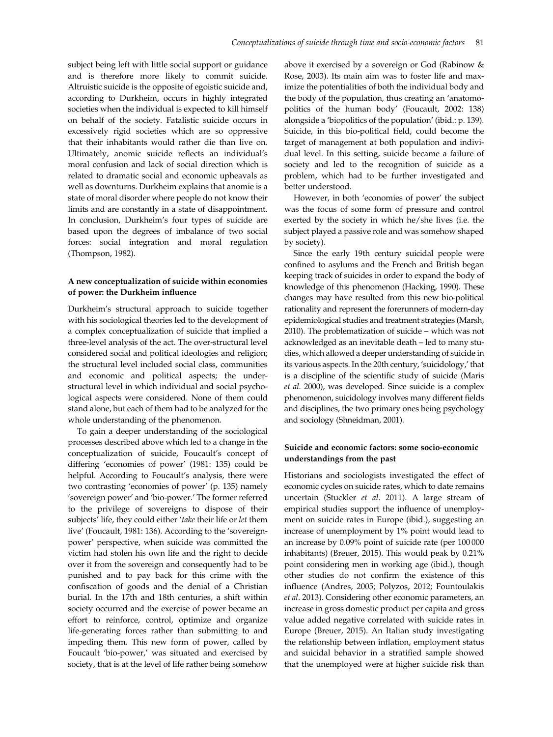subject being left with little social support or guidance and is therefore more likely to commit suicide. Altruistic suicide is the opposite of egoistic suicide and, according to Durkheim, occurs in highly integrated societies when the individual is expected to kill himself on behalf of the society. Fatalistic suicide occurs in excessively rigid societies which are so oppressive that their inhabitants would rather die than live on. Ultimately, anomic suicide reflects an individual's moral confusion and lack of social direction which is related to dramatic social and economic upheavals as well as downturns. Durkheim explains that anomie is a state of moral disorder where people do not know their limits and are constantly in a state of disappointment. In conclusion, Durkheim's four types of suicide are based upon the degrees of imbalance of two social forces: social integration and moral regulation (Thompson, [1982](#page-11-0)).

## A new conceptualization of suicide within economies of power: the Durkheim influence

Durkheim's structural approach to suicide together with his sociological theories led to the development of a complex conceptualization of suicide that implied a three-level analysis of the act. The over-structural level considered social and political ideologies and religion; the structural level included social class, communities and economic and political aspects; the understructural level in which individual and social psychological aspects were considered. None of them could stand alone, but each of them had to be analyzed for the whole understanding of the phenomenon.

To gain a deeper understanding of the sociological processes described above which led to a change in the conceptualization of suicide, Foucault's concept of differing 'economies of power' [\(1981](#page-10-0): 135) could be helpful. According to Foucault's analysis, there were two contrasting 'economies of power' (p. 135) namely 'sovereign power' and 'bio-power.' The former referred to the privilege of sovereigns to dispose of their subjects' life, they could either 'take their life or let them live' (Foucault, [1981:](#page-10-0) 136). According to the 'sovereignpower' perspective, when suicide was committed the victim had stolen his own life and the right to decide over it from the sovereign and consequently had to be punished and to pay back for this crime with the confiscation of goods and the denial of a Christian burial. In the 17th and 18th centuries, a shift within society occurred and the exercise of power became an effort to reinforce, control, optimize and organize life-generating forces rather than submitting to and impeding them. This new form of power, called by Foucault 'bio-power,' was situated and exercised by society, that is at the level of life rather being somehow

above it exercised by a sovereign or God (Rabinow & Rose, [2003\)](#page-11-0). Its main aim was to foster life and maximize the potentialities of both the individual body and the body of the population, thus creating an 'anatomopolitics of the human body' (Foucault, [2002](#page-10-0): 138) alongside a 'biopolitics of the population' (ibid.: p. 139). Suicide, in this bio-political field, could become the target of management at both population and individual level. In this setting, suicide became a failure of society and led to the recognition of suicide as a problem, which had to be further investigated and better understood.

However, in both 'economies of power' the subject was the focus of some form of pressure and control exerted by the society in which he/she lives (i.e. the subject played a passive role and was somehow shaped by society).

Since the early 19th century suicidal people were confined to asylums and the French and British began keeping track of suicides in order to expand the body of knowledge of this phenomenon (Hacking, [1990](#page-10-0)). These changes may have resulted from this new bio-political rationality and represent the forerunners of modern-day epidemiological studies and treatment strategies (Marsh, [2010\)](#page-10-0). The problematization of suicide – which was not acknowledged as an inevitable death – led to many studies, which allowed a deeper understanding of suicide in its various aspects. In the 20th century, 'suicidology,' that is a discipline of the scientific study of suicide (Maris et al. [2000](#page-10-0)), was developed. Since suicide is a complex phenomenon, suicidology involves many different fields and disciplines, the two primary ones being psychology and sociology (Shneidman, [2001\)](#page-11-0).

## Suicide and economic factors: some socio-economic understandings from the past

Historians and sociologists investigated the effect of economic cycles on suicide rates, which to date remains uncertain (Stuckler et al. [2011](#page-11-0)). A large stream of empirical studies support the influence of unemployment on suicide rates in Europe (ibid.), suggesting an increase of unemployment by 1% point would lead to an increase by 0.09% point of suicide rate (per 100 000 inhabitants) (Breuer, [2015\)](#page-9-0). This would peak by 0.21% point considering men in working age (ibid.), though other studies do not confirm the existence of this influence (Andres, [2005](#page-9-0); Polyzos, [2012;](#page-11-0) Fountoulakis et al. [2013\)](#page-10-0). Considering other economic parameters, an increase in gross domestic product per capita and gross value added negative correlated with suicide rates in Europe (Breuer, [2015](#page-9-0)). An Italian study investigating the relationship between inflation, employment status and suicidal behavior in a stratified sample showed that the unemployed were at higher suicide risk than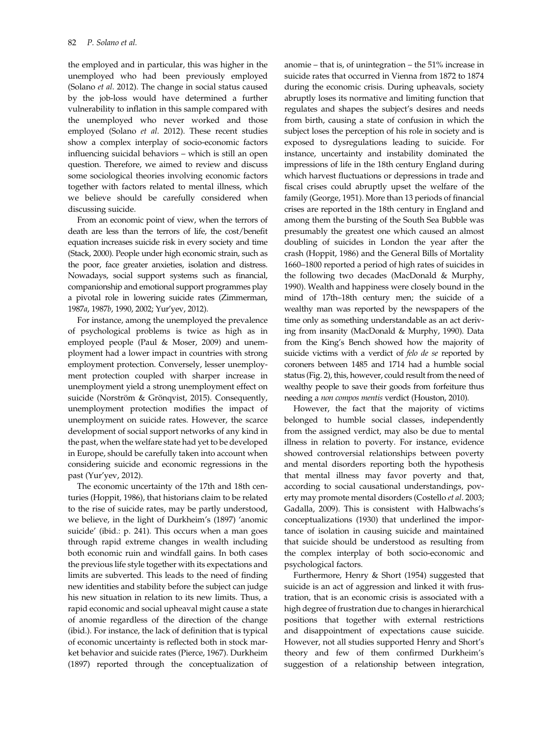the employed and in particular, this was higher in the unemployed who had been previously employed (Solano et al. [2012\)](#page-11-0). The change in social status caused by the job-loss would have determined a further vulnerability to inflation in this sample compared with the unemployed who never worked and those employed (Solano et al. [2012](#page-11-0)). These recent studies show a complex interplay of socio-economic factors influencing suicidal behaviors – which is still an open question. Therefore, we aimed to review and discuss some sociological theories involving economic factors together with factors related to mental illness, which we believe should be carefully considered when discussing suicide.

From an economic point of view, when the terrors of death are less than the terrors of life, the cost/benefit equation increases suicide risk in every society and time (Stack, [2000\)](#page-11-0). People under high economic strain, such as the poor, face greater anxieties, isolation and distress. Nowadays, social support systems such as financial, companionship and emotional support programmes play a pivotal role in lowering suicide rates (Zimmerman, 1987[a](#page-11-0), 1987[b](#page-11-0), [1990, 2002](#page-11-0); Yur'yev, [2012\)](#page-11-0).

For instance, among the unemployed the prevalence of psychological problems is twice as high as in employed people (Paul & Moser, [2009](#page-10-0)) and unemployment had a lower impact in countries with strong employment protection. Conversely, lesser unemployment protection coupled with sharper increase in unemployment yield a strong unemployment effect on suicide (Norström & Grönqvist, [2015](#page-10-0)). Consequently, unemployment protection modifies the impact of unemployment on suicide rates. However, the scarce development of social support networks of any kind in the past, when the welfare state had yet to be developed in Europe, should be carefully taken into account when considering suicide and economic regressions in the past (Yur'yev, [2012\)](#page-11-0).

The economic uncertainty of the 17th and 18th centuries (Hoppit, [1986](#page-10-0)), that historians claim to be related to the rise of suicide rates, may be partly understood, we believe, in the light of Durkheim's [\(1897\)](#page-10-0) 'anomic suicide' (ibid.: p. 241). This occurs when a man goes through rapid extreme changes in wealth including both economic ruin and windfall gains. In both cases the previous life style together with its expectations and limits are subverted. This leads to the need of finding new identities and stability before the subject can judge his new situation in relation to its new limits. Thus, a rapid economic and social upheaval might cause a state of anomie regardless of the direction of the change (ibid.). For instance, the lack of definition that is typical of economic uncertainty is reflected both in stock market behavior and suicide rates (Pierce, [1967\)](#page-11-0). Durkheim [\(1897](#page-10-0)) reported through the conceptualization of anomie – that is, of unintegration – the 51% increase in suicide rates that occurred in Vienna from 1872 to 1874 during the economic crisis. During upheavals, society abruptly loses its normative and limiting function that regulates and shapes the subject's desires and needs from birth, causing a state of confusion in which the subject loses the perception of his role in society and is exposed to dysregulations leading to suicide. For instance, uncertainty and instability dominated the impressions of life in the 18th century England during which harvest fluctuations or depressions in trade and fiscal crises could abruptly upset the welfare of the family (George, [1951\)](#page-10-0). More than 13 periods of financial crises are reported in the 18th century in England and among them the bursting of the South Sea Bubble was presumably the greatest one which caused an almost doubling of suicides in London the year after the crash (Hoppit, [1986\)](#page-10-0) and the General Bills of Mortality 1660–1800 reported a period of high rates of suicides in the following two decades (MacDonald & Murphy, [1990](#page-10-0)). Wealth and happiness were closely bound in the mind of 17th–18th century men; the suicide of a wealthy man was reported by the newspapers of the time only as something understandable as an act deriving from insanity (MacDonald & Murphy, [1990\)](#page-10-0). Data from the King's Bench showed how the majority of suicide victims with a verdict of felo de se reported by coroners between 1485 and 1714 had a humble social status [\(Fig. 2](#page-8-0)), this, however, could result from the need of wealthy people to save their goods from forfeiture thus needing a non compos mentis verdict (Houston, [2010\)](#page-10-0).

However, the fact that the majority of victims belonged to humble social classes, independently from the assigned verdict, may also be due to mental illness in relation to poverty. For instance, evidence showed controversial relationships between poverty and mental disorders reporting both the hypothesis that mental illness may favor poverty and that, according to social causational understandings, poverty may promote mental disorders (Costello et al. [2003](#page-9-0); Gadalla, [2009](#page-10-0)). This is consistent with Halbwachs's conceptualizations ([1930](#page-10-0)) that underlined the importance of isolation in causing suicide and maintained that suicide should be understood as resulting from the complex interplay of both socio-economic and psychological factors.

Furthermore, Henry & Short ([1954\)](#page-10-0) suggested that suicide is an act of aggression and linked it with frustration, that is an economic crisis is associated with a high degree of frustration due to changes in hierarchical positions that together with external restrictions and disappointment of expectations cause suicide. However, not all studies supported Henry and Short's theory and few of them confirmed Durkheim's suggestion of a relationship between integration,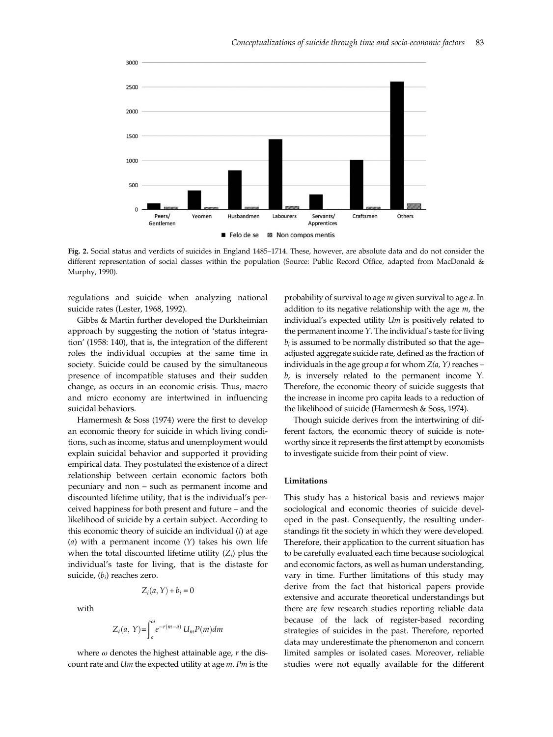<span id="page-8-0"></span>

Fig. 2. Social status and verdicts of suicides in England 1485–1714. These, however, are absolute data and do not consider the different representation of social classes within the population (Source: Public Record Office, adapted from MacDonald & Murphy, [1990](#page-10-0)).

regulations and suicide when analyzing national suicide rates (Lester, [1968, 1992](#page-10-0)).

Gibbs & Martin further developed the Durkheimian approach by suggesting the notion of 'status integration' [\(1958](#page-10-0): 140), that is, the integration of the different roles the individual occupies at the same time in society. Suicide could be caused by the simultaneous presence of incompatible statuses and their sudden change, as occurs in an economic crisis. Thus, macro and micro economy are intertwined in influencing suicidal behaviors.

Hamermesh & Soss ([1974\)](#page-10-0) were the first to develop an economic theory for suicide in which living conditions, such as income, status and unemployment would explain suicidal behavior and supported it providing empirical data. They postulated the existence of a direct relationship between certain economic factors both pecuniary and non – such as permanent income and discounted lifetime utility, that is the individual's perceived happiness for both present and future – and the likelihood of suicide by a certain subject. According to this economic theory of suicide an individual  $(i)$  at age (a) with a permanent income  $(Y)$  takes his own life when the total discounted lifetime utility  $(Z_i)$  plus the individual's taste for living, that is the distaste for suicide,  $(b_i)$  reaches zero.

$$
Z_i(a, Y) + b_i = 0
$$

with

$$
Z_t(a, Y) = \int_a^{\omega} e^{-r(m-a)} U_m P(m) dm
$$

where  $\omega$  denotes the highest attainable age,  $r$  the discount rate and  $Um$  the expected utility at age  $m$ . Pm is the probability of survival to age m given survival to age a. In addition to its negative relationship with the age  $m$ , the individual's expected utility Um is positively related to the permanent income Y. The individual's taste for living  $b_i$  is assumed to be normally distributed so that the age– adjusted aggregate suicide rate, defined as the fraction of individuals in the age group  $a$  for whom  $Z(a, Y)$  reaches – b, is inversely related to the permanent income Y. Therefore, the economic theory of suicide suggests that the increase in income pro capita leads to a reduction of the likelihood of suicide (Hamermesh & Soss, [1974](#page-10-0)).

Though suicide derives from the intertwining of different factors, the economic theory of suicide is noteworthy since it represents the first attempt by economists to investigate suicide from their point of view.

#### Limitations

This study has a historical basis and reviews major sociological and economic theories of suicide developed in the past. Consequently, the resulting understandings fit the society in which they were developed. Therefore, their application to the current situation has to be carefully evaluated each time because sociological and economic factors, as well as human understanding, vary in time. Further limitations of this study may derive from the fact that historical papers provide extensive and accurate theoretical understandings but there are few research studies reporting reliable data because of the lack of register-based recording strategies of suicides in the past. Therefore, reported data may underestimate the phenomenon and concern limited samples or isolated cases. Moreover, reliable studies were not equally available for the different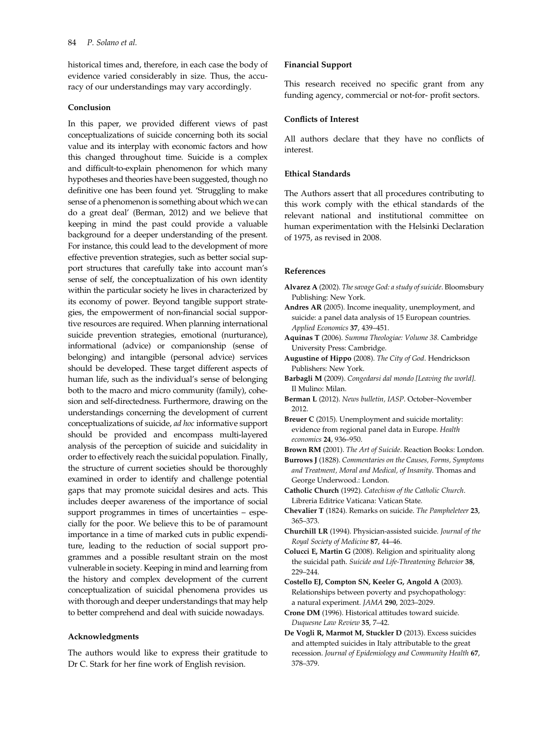<span id="page-9-0"></span>historical times and, therefore, in each case the body of evidence varied considerably in size. Thus, the accuracy of our understandings may vary accordingly.

#### Conclusion

In this paper, we provided different views of past conceptualizations of suicide concerning both its social value and its interplay with economic factors and how this changed throughout time. Suicide is a complex and difficult-to-explain phenomenon for which many hypotheses and theories have been suggested, though no definitive one has been found yet. 'Struggling to make sense of a phenomenon is something about which we can do a great deal' (Berman, 2012) and we believe that keeping in mind the past could provide a valuable background for a deeper understanding of the present. For instance, this could lead to the development of more effective prevention strategies, such as better social support structures that carefully take into account man's sense of self, the conceptualization of his own identity within the particular society he lives in characterized by its economy of power. Beyond tangible support strategies, the empowerment of non-financial social supportive resources are required. When planning international suicide prevention strategies, emotional (nurturance), informational (advice) or companionship (sense of belonging) and intangible (personal advice) services should be developed. These target different aspects of human life, such as the individual's sense of belonging both to the macro and micro community (family), cohesion and self-directedness. Furthermore, drawing on the understandings concerning the development of current conceptualizations of suicide, ad hoc informative support should be provided and encompass multi-layered analysis of the perception of suicide and suicidality in order to effectively reach the suicidal population. Finally, the structure of current societies should be thoroughly examined in order to identify and challenge potential gaps that may promote suicidal desires and acts. This includes deeper awareness of the importance of social support programmes in times of uncertainties – especially for the poor. We believe this to be of paramount importance in a time of marked cuts in public expenditure, leading to the reduction of social support programmes and a possible resultant strain on the most vulnerable in society. Keeping in mind and learning from the history and complex development of the current conceptualization of suicidal phenomena provides us with thorough and deeper understandings that may help to better comprehend and deal with suicide nowadays.

#### Acknowledgments

The authors would like to express their gratitude to Dr C. Stark for her fine work of English revision.

#### Financial Support

This research received no specific grant from any funding agency, commercial or not-for- profit sectors.

## Conflicts of Interest

All authors declare that they have no conflicts of interest.

#### Ethical Standards

The Authors assert that all procedures contributing to this work comply with the ethical standards of the relevant national and institutional committee on human experimentation with the Helsinki Declaration of 1975, as revised in 2008.

### References

- Alvarez A (2002). The savage God: a study of suicide. Bloomsbury Publishing: New York.
- Andres AR (2005). Income inequality, unemployment, and suicide: a panel data analysis of 15 European countries. Applied Economics 37, 439–451.
- Aquinas T (2006). Summa Theologiae: Volume 38. Cambridge University Press: Cambridge.
- Augustine of Hippo (2008). The City of God. Hendrickson Publishers: New York.
- Barbagli M (2009). Congedarsi dal mondo [Leaving the world]. Il Mulino: Milan.
- Berman L (2012). News bulletin, IASP. October–November 2012.
- Breuer C (2015). Unemployment and suicide mortality: evidence from regional panel data in Europe. Health economics 24, 936–950.
- Brown RM (2001). The Art of Suicide. Reaction Books: London.
- Burrows J (1828). Commentaries on the Causes, Forms, Symptoms and Treatment, Moral and Medical, of Insanity. Thomas and George Underwood.: London.
- Catholic Church (1992). Catechism of the Catholic Church. Libreria Editrice Vaticana: Vatican State.
- Chevalier T (1824). Remarks on suicide. The Pampheleteer 23, 365–373.
- Churchill LR (1994). Physician-assisted suicide. Journal of the Royal Society of Medicine 87, 44–46.
- Colucci E, Martin G (2008). Religion and spirituality along the suicidal path. Suicide and Life-Threatening Behavior 38, 229–244.
- Costello EJ, Compton SN, Keeler G, Angold A (2003). Relationships between poverty and psychopathology: a natural experiment. JAMA 290, 2023–2029.
- Crone DM (1996). Historical attitudes toward suicide. Duquesne Law Review 35, 7–42.
- De Vogli R, Marmot M, Stuckler D (2013). Excess suicides and attempted suicides in Italy attributable to the great recession. Journal of Epidemiology and Community Health 67, 378–379.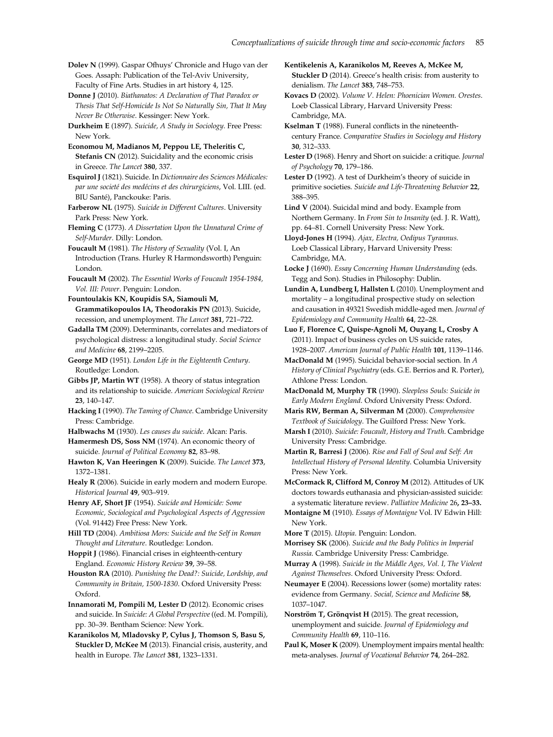- <span id="page-10-0"></span>Dolev N (1999). Gaspar Ofhuys' Chronicle and Hugo van der Goes. Assaph: Publication of the Tel-Aviv University, Faculty of Fine Arts. Studies in art history 4, 125.
- Donne J (2010). Biathanatos: A Declaration of That Paradox or Thesis That Self-Homicide Is Not So Naturally Sin, That It May Never Be Otherwise. Kessinger: New York.
- Durkheim E (1897). Suicide, A Study in Sociology. Free Press: New York.
- Economou M, Madianos M, Peppou LE, Theleritis C, Stefanis CN (2012). Suicidality and the economic crisis in Greece. The Lancet 380, 337.
- Esquirol J (1821). Suicide. In Dictionnaire des Sciences Médicales: par une societé des medécins et des chirurgiciens, Vol. LIII. (ed. BIU Santé), Panckouke: Paris.
- Farberow NL (1975). Suicide in Different Cultures. University Park Press: New York.
- Fleming C (1773). A Dissertation Upon the Unnatural Crime of Self-Murder. Dilly: London.
- Foucault M (1981). The History of Sexuality (Vol. I, An Introduction (Trans. Hurley R Harmondsworth) Penguin: London.
- Foucault M (2002). The Essential Works of Foucault 1954-1984, Vol. III: Power. Penguin: London.
- Fountoulakis KN, Koupidis SA, Siamouli M, Grammatikopoulos IA, Theodorakis PN (2013). Suicide, recession, and unemployment. The Lancet 381, 721–722.
- Gadalla TM (2009). Determinants, correlates and mediators of psychological distress: a longitudinal study. Social Science and Medicine 68, 2199–2205.
- George MD (1951). London Life in the Eighteenth Century. Routledge: London.
- Gibbs JP, Martin WT (1958). A theory of status integration and its relationship to suicide. American Sociological Review 23, 140–147.
- Hacking I (1990). The Taming of Chance. Cambridge University Press: Cambridge.
- Halbwachs M (1930). Les causes du suicide. Alcan: Paris.
- Hamermesh DS, Soss NM (1974). An economic theory of suicide. Journal of Political Economy 82, 83–98.
- Hawton K, Van Heeringen K (2009). Suicide. The Lancet 373, 1372–1381.
- Healy R (2006). Suicide in early modern and modern Europe. Historical Journal 49, 903–919.
- Henry AF, Short JF (1954). Suicide and Homicide: Some Economic, Sociological and Psychological Aspects of Aggression (Vol. 91442) Free Press: New York.
- Hill TD (2004). Ambitiosa Mors: Suicide and the Self in Roman Thought and Literature. Routledge: London.
- Hoppit J (1986). Financial crises in eighteenth-century England. Economic History Review 39, 39–58.
- Houston RA (2010). Punishing the Dead?: Suicide, Lordship, and Community in Britain, 1500-1830. Oxford University Press: Oxford.
- Innamorati M, Pompili M, Lester D (2012). Economic crises and suicide. In Suicide: A Global Perspective ((ed. M. Pompili), pp. 30–39. Bentham Science: New York.
- Karanikolos M, Mladovsky P, Cylus J, Thomson S, Basu S, Stuckler D, McKee M (2013). Financial crisis, austerity, and health in Europe. The Lancet 381, 1323-1331.
- Kentikelenis A, Karanikolos M, Reeves A, McKee M, Stuckler D (2014). Greece's health crisis: from austerity to denialism. The Lancet 383, 748–753.
- Kovacs D (2002). Volume V. Helen: Phoenician Women. Orestes. Loeb Classical Library, Harvard University Press: Cambridge, MA.
- Kselman T (1988). Funeral conflicts in the nineteenthcentury France. Comparative Studies in Sociology and History 30, 312–333.
- Lester D (1968). Henry and Short on suicide: a critique. Journal of Psychology 70, 179–186.
- Lester D (1992). A test of Durkheim's theory of suicide in primitive societies. Suicide and Life-Threatening Behavior 22, 388–395.
- Lind V (2004). Suicidal mind and body. Example from Northern Germany. In From Sin to Insanity (ed. J. R. Watt), pp. 64–81. Cornell University Press: New York.
- Lloyd-Jones H (1994). Ajax, Electra, Oedipus Tyrannus. Loeb Classical Library, Harvard University Press: Cambridge, MA.
- Locke J (1690). Essay Concerning Human Understanding (eds. Tegg and Son). Studies in Philosophy: Dublin.
- Lundin A, Lundberg I, Hallsten L (2010). Unemployment and mortality – a longitudinal prospective study on selection and causation in 49321 Swedish middle-aged men. Journal of Epidemiology and Community Health 64, 22–28.
- Luo F, Florence C, Quispe-Agnoli M, Ouyang L, Crosby A (2011). Impact of business cycles on US suicide rates, 1928–2007. American Journal of Public Health 101, 1139–1146.
- MacDonald M (1995). Suicidal behavior-social section. In A History of Clinical Psychiatry (eds. G.E. Berrios and R. Porter), Athlone Press: London.
- MacDonald M, Murphy TR (1990). Sleepless Souls: Suicide in Early Modern England. Oxford University Press: Oxford.
- Maris RW, Berman A, Silverman M (2000). Comprehensive Textbook of Suicidology. The Guilford Press: New York.
- Marsh I (2010). Suicide: Foucault, History and Truth. Cambridge University Press: Cambridge.
- Martin R, Barresi J (2006). Rise and Fall of Soul and Self: An Intellectual History of Personal Identity. Columbia University Press: New York.
- McCormack R, Clifford M, Conroy M (2012). Attitudes of UK doctors towards euthanasia and physician-assisted suicide: a systematic literature review. Palliative Medicine 26, 23–33.
- Montaigne M (1910). Essays of Montaigne Vol. IV Edwin Hill: New York.

More T (2015). Utopia. Penguin: London.

- Morrisey SK (2006). Suicide and the Body Politics in Imperial Russia. Cambridge University Press: Cambridge.
- Murray A (1998). Suicide in the Middle Ages, Vol. I, The Violent Against Themselves. Oxford University Press: Oxford.
- Neumayer E (2004). Recessions lower (some) mortality rates: evidence from Germany. Social, Science and Medicine 58, 1037–1047.
- Norström T, Grönqvist H (2015). The great recession, unemployment and suicide. Journal of Epidemiology and Community Health 69, 110–116.
- Paul K, Moser K (2009). Unemployment impairs mental health: meta-analyses. Journal of Vocational Behavior 74, 264–282.